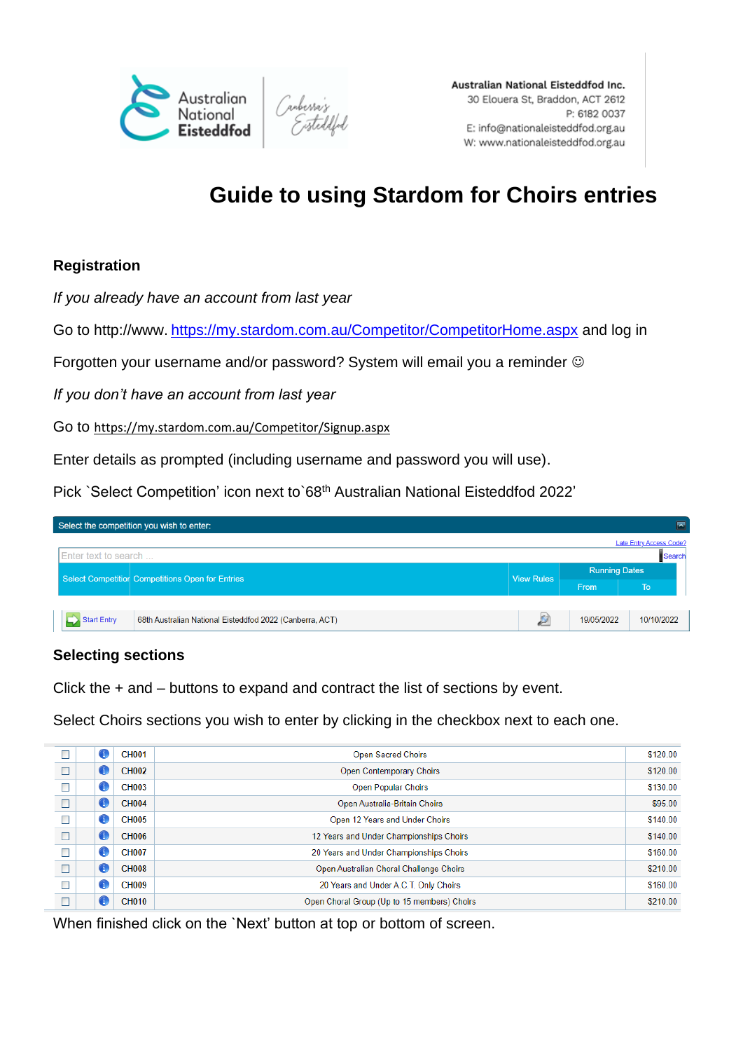

Australian National Eisteddfod Inc. 30 Elouera St, Braddon, ACT 2612 P: 6182 0037 E: info@nationaleisteddfod.org.au W: www.nationaleisteddfod.org.au

# **Guide to using Stardom for Choirs entries**

## **Registration**

*If you already have an account from last year*

Go to http://www. https://my.stardom.com.au/Competitor/CompetitorHome.aspx and log in

Forgotten your username and/or password? System will email you a reminder  $\odot$ 

*If you don't have an account from last year*

Go to https://my.stardom.com.au/Competitor/Signup.aspx

Enter details as prompted (including username and password you will use).

Pick `Select Competition' icon next to 68<sup>th</sup> Australian National Eisteddfod 2022'

|                      | $\blacksquare$<br>Select the competition you wish to enter: |                                                          |                   |                      |            |  |
|----------------------|-------------------------------------------------------------|----------------------------------------------------------|-------------------|----------------------|------------|--|
|                      | Late Entry Access Code?                                     |                                                          |                   |                      |            |  |
| Enter text to search |                                                             |                                                          |                   | Search               |            |  |
|                      |                                                             | Select Competition Competitions Open for Entries         | <b>View Rules</b> | <b>Running Dates</b> |            |  |
|                      |                                                             |                                                          |                   | From                 | <b>To</b>  |  |
|                      |                                                             |                                                          |                   |                      |            |  |
|                      | Start Entry                                                 | 68th Australian National Eisteddfod 2022 (Canberra, ACT) | юì                | 19/05/2022           | 10/10/2022 |  |
|                      |                                                             |                                                          |                   |                      |            |  |

#### **Selecting sections**

Click the + and – buttons to expand and contract the list of sections by event.

Select Choirs sections you wish to enter by clicking in the checkbox next to each one.

| $\Box$ | O            | <b>CH001</b> | <b>Open Sacred Choirs</b>                   | \$120.00 |  |  |  |
|--------|--------------|--------------|---------------------------------------------|----------|--|--|--|
| $\Box$ | O            | <b>CH002</b> | Open Contemporary Choirs                    | \$120.00 |  |  |  |
| $\Box$ | O            | <b>CH003</b> | <b>Open Popular Choirs</b>                  |          |  |  |  |
| $\Box$ | O            | <b>CH004</b> | Open Australia-Britain Choirs               |          |  |  |  |
| $\Box$ | O            | <b>CH005</b> | Open 12 Years and Under Choirs              | \$140.00 |  |  |  |
| $\Box$ | O            | <b>CH006</b> | 12 Years and Under Championships Choirs     | \$140.00 |  |  |  |
| $\Box$ | 0            | <b>CH007</b> | 20 Years and Under Championships Choirs     | \$160.00 |  |  |  |
| $\Box$ | $\mathbf{f}$ | <b>CH008</b> | Open Australian Choral Challenge Choirs     | \$210.00 |  |  |  |
| $\Box$ | O            | <b>CH009</b> | 20 Years and Under A.C.T. Only Choirs       | \$160.00 |  |  |  |
| $\Box$ | Œ            | <b>CH010</b> | Open Choral Group (Up to 15 members) Choirs | \$210.00 |  |  |  |

When finished click on the `Next' button at top or bottom of screen.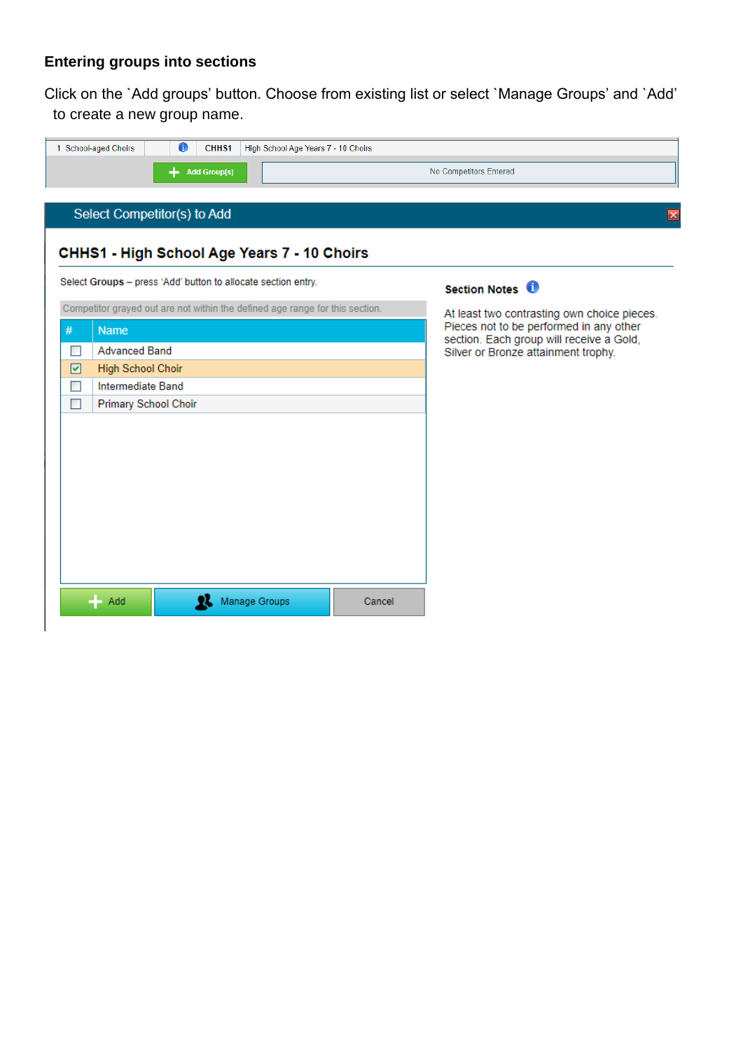# **Entering groups into sections**

Click on the `Add groups' button. Choose from existing list or select `Manage Groups' and `Add' to create a new group name.

| $\bullet$<br>CHH <sub>S1</sub><br>1. School-aged Choirs<br>High School Age Years 7 - 10 Choirs |        |                                                                                     |
|------------------------------------------------------------------------------------------------|--------|-------------------------------------------------------------------------------------|
| <b>Add Group(s)</b>                                                                            |        | No Competitors Entered                                                              |
|                                                                                                |        |                                                                                     |
| Select Competitor(s) to Add                                                                    |        | $\vert x \vert$                                                                     |
|                                                                                                |        |                                                                                     |
| CHHS1 - High School Age Years 7 - 10 Choirs                                                    |        |                                                                                     |
| Select Groups - press 'Add' button to allocate section entry.                                  |        | Section Notes <sup>0</sup>                                                          |
| Competitor grayed out are not within the defined age range for this section.                   |        | At least two contrasting own choice pieces.                                         |
| #<br><b>Name</b>                                                                               |        | Pieces not to be performed in any other<br>section. Each group will receive a Gold, |
| <b>Advanced Band</b><br>П                                                                      |        | Silver or Bronze attainment trophy.                                                 |
| <b>High School Choir</b><br>☑                                                                  |        |                                                                                     |
| Intermediate Band<br>П                                                                         |        |                                                                                     |
| П<br><b>Primary School Choir</b>                                                               |        |                                                                                     |
|                                                                                                |        |                                                                                     |
|                                                                                                |        |                                                                                     |
|                                                                                                |        |                                                                                     |
|                                                                                                |        |                                                                                     |
|                                                                                                |        |                                                                                     |
|                                                                                                |        |                                                                                     |
|                                                                                                |        |                                                                                     |
|                                                                                                |        |                                                                                     |
|                                                                                                |        |                                                                                     |
| Manage Groups<br>Add                                                                           | Cancel |                                                                                     |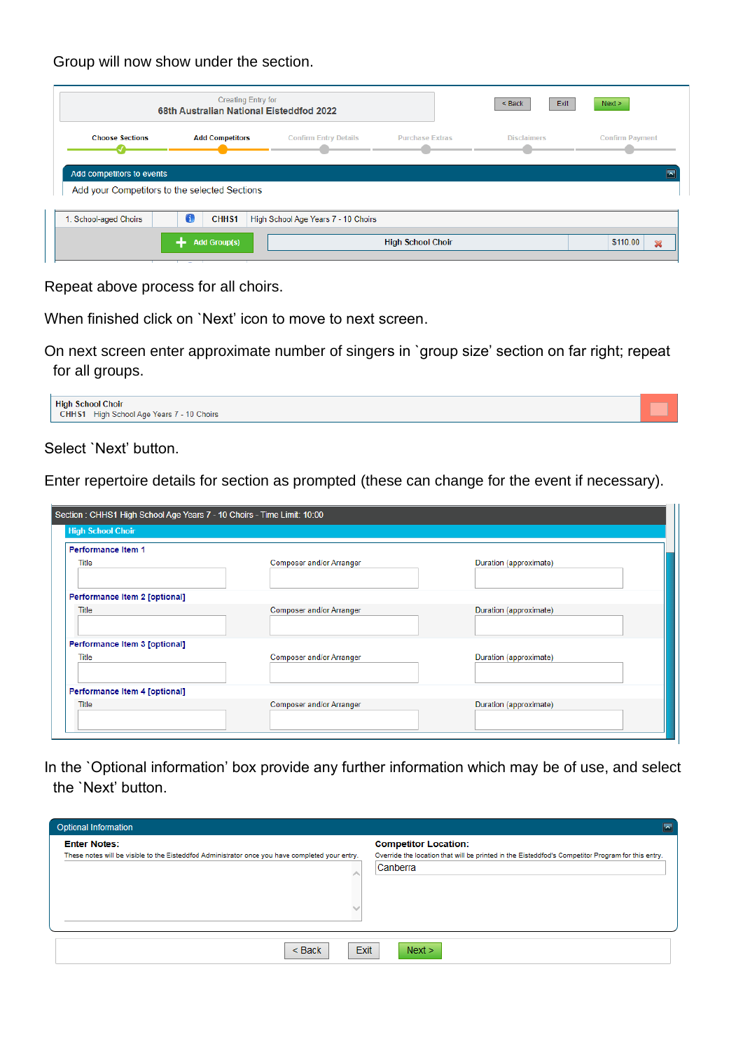Group will now show under the section.

|                                               | <b>Creating Entry for</b><br>68th Australian National Eisteddfod 2022 |                                     |                        | Exit<br>$Back$     | Next >                 |
|-----------------------------------------------|-----------------------------------------------------------------------|-------------------------------------|------------------------|--------------------|------------------------|
| <b>Choose Sections</b>                        | <b>Add Competitors</b>                                                | <b>Confirm Entry Details</b>        | <b>Purchase Extras</b> | <b>Disclaimers</b> | <b>Confirm Payment</b> |
|                                               |                                                                       |                                     |                        |                    |                        |
| Add competitors to events                     |                                                                       |                                     |                        |                    |                        |
| Add your Competitors to the selected Sections |                                                                       |                                     |                        |                    |                        |
| 1. School-aged Choirs                         | 0<br>CHH <sub>S1</sub>                                                | High School Age Years 7 - 10 Choirs |                        |                    |                        |

Repeat above process for all choirs.

When finished click on `Next' icon to move to next screen.

On next screen enter approximate number of singers in `group size' section on far right; repeat for all groups.



Select `Next' button.

Enter repertoire details for section as prompted (these can change for the event if necessary).

| Section: CHHS1 High School Age Years 7 - 10 Choirs - Time Limit: 10:00 |                          |                        |  |  |  |  |
|------------------------------------------------------------------------|--------------------------|------------------------|--|--|--|--|
| <b>High School Choir</b>                                               |                          |                        |  |  |  |  |
| Performance Item 1                                                     |                          |                        |  |  |  |  |
| Title                                                                  | Composer and/or Arranger | Duration (approximate) |  |  |  |  |
| Performance Item 2 [optional]                                          |                          |                        |  |  |  |  |
| Title                                                                  | Composer and/or Arranger | Duration (approximate) |  |  |  |  |
| Performance Item 3 [optional]                                          |                          |                        |  |  |  |  |
| Title                                                                  | Composer and/or Arranger | Duration (approximate) |  |  |  |  |
| Performance Item 4 [optional]                                          |                          |                        |  |  |  |  |
| Title                                                                  | Composer and/or Arranger | Duration (approximate) |  |  |  |  |

In the `Optional information' box provide any further information which may be of use, and select the `Next' button.

| <b>Optional Information</b><br>$\overline{\phantom{a}}$                                                                |                                                                                                                                              |  |  |  |
|------------------------------------------------------------------------------------------------------------------------|----------------------------------------------------------------------------------------------------------------------------------------------|--|--|--|
| <b>Enter Notes:</b><br>These notes will be visible to the Eisteddfod Administrator once you have completed your entry. | <b>Competitor Location:</b><br>Override the location that will be printed in the Eisteddfod's Competitor Program for this entry.<br>Canberra |  |  |  |
| <b>Exit</b><br>$<$ Back                                                                                                | Next >                                                                                                                                       |  |  |  |